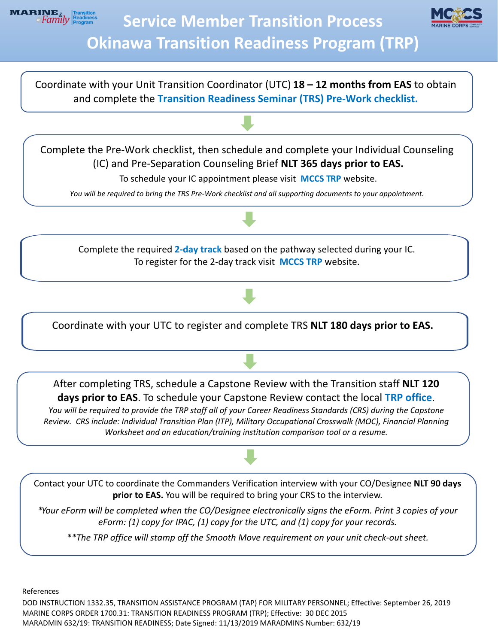



Coordinate with your Unit Transition Coordinator (UTC) **18 – 12 months from EAS** to obtain and complete the **Transition Readiness Seminar (TRS) [Pre-Work checklist.](https://www.mccsokinawa.com/uploadedFiles/MainSite/Content/Marine_and_Family/Marine_and_Family_Programs_-_Resources/Transition_and_Employment_Assistance/Tabs/TAMP_Readiness_Seminar/NDAA%20TRS%20Pre%20Work%20Checklist%202020.pdf)**

Complete the Pre-Work checklist, then schedule and complete your Individual Counseling (IC) and Pre-Separation Counseling Brief **NLT 365 days prior to EAS.**

To schedule your IC appointment please visit **[MCCS TRP](https://www.mccsokinawa.com/transition/#tab3)** website.

*You will be required to bring the TRS Pre-Work checklist and all supporting documents to your appointment.* 

Complete the required **[2-day track](https://www.mccsokinawa.com/uploadedFiles/MainSite/Content/Marine_and_Family/Marine_and_Family_Programs_-_Resources/Transition_and_Employment_Assistance/ALL%20TRS%20Tracks%202020%20Flyers.pdf)** based on the pathway selected during your IC. To register for the 2-day track visit **[MCCS T](https://www.mccsokinawa.com/transition/#tab3)RP** website.

Coordinate with your UTC to register and complete TRS **NLT 180 days prior to EAS.**

After completing TRS, schedule a Capstone Review with the Transition staff **NLT 120 days prior to EAS**. To schedule your Capstone Review contact the local **[TRP office](https://www.mccsokinawa.com/mfpcontact/)**.

*You will be required to provide the TRP staff all of your Career Readiness Standards (CRS) during the Capstone Review. CRS include: Individual Transition Plan (ITP), Military Occupational Crosswalk (MOC), Financial Planning Worksheet and an education/training institution comparison tool or a resume.* 

Contact your UTC to coordinate the Commanders Verification interview with your CO/Designee **NLT 90 days prior to EAS.** You will be required to bring your CRS to the interview.

*\*Your eForm will be completed when the CO/Designee electronically signs the eForm. Print 3 copies of your eForm: (1) copy for IPAC, (1) copy for the UTC, and (1) copy for your records.* 

*\*\*The TRP office will stamp off the Smooth Move requirement on your unit check-out sheet.* 

References

DOD INSTRUCTION 1332.35, TRANSITION ASSISTANCE PROGRAM (TAP) FOR MILITARY PERSONNEL; Effective: September 26, 2019 MARINE CORPS ORDER 1700.31: TRANSITION READINESS PROGRAM (TRP); Effective: 30 DEC 2015 MARADMIN 632/19: TRANSITION READINESS; Date Signed: 11/13/2019 MARADMINS Number: 632/19